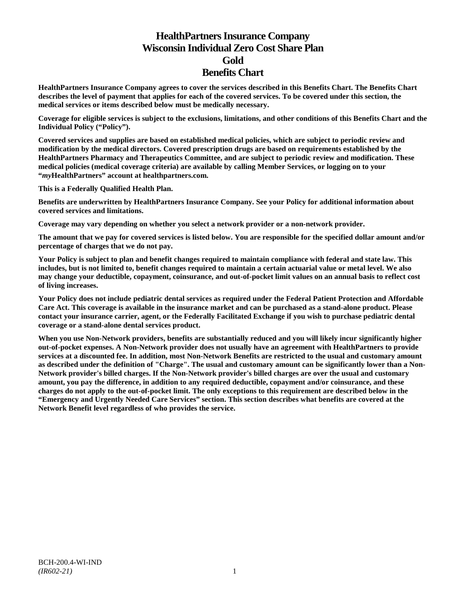# **HealthPartners Insurance Company Wisconsin Individual Zero Cost Share Plan Gold Benefits Chart**

**HealthPartners Insurance Company agrees to cover the services described in this Benefits Chart. The Benefits Chart describes the level of payment that applies for each of the covered services. To be covered under this section, the medical services or items described below must be medically necessary.**

**Coverage for eligible services is subject to the exclusions, limitations, and other conditions of this Benefits Chart and the Individual Policy ("Policy").**

**Covered services and supplies are based on established medical policies, which are subject to periodic review and modification by the medical directors. Covered prescription drugs are based on requirements established by the HealthPartners Pharmacy and Therapeutics Committee, and are subject to periodic review and modification. These medical policies (medical coverage criteria) are available by calling Member Services, or logging on to your "***my***HealthPartners" account at [healthpartners.com.](http://www.healthpartners.com/)**

**This is a Federally Qualified Health Plan.**

**Benefits are underwritten by HealthPartners Insurance Company. See your Policy for additional information about covered services and limitations.**

**Coverage may vary depending on whether you select a network provider or a non-network provider.**

**The amount that we pay for covered services is listed below. You are responsible for the specified dollar amount and/or percentage of charges that we do not pay.**

**Your Policy is subject to plan and benefit changes required to maintain compliance with federal and state law. This includes, but is not limited to, benefit changes required to maintain a certain actuarial value or metal level. We also may change your deductible, copayment, coinsurance, and out-of-pocket limit values on an annual basis to reflect cost of living increases.**

**Your Policy does not include pediatric dental services as required under the Federal Patient Protection and Affordable Care Act. This coverage is available in the insurance market and can be purchased as a stand-alone product. Please contact your insurance carrier, agent, or the Federally Facilitated Exchange if you wish to purchase pediatric dental coverage or a stand-alone dental services product.**

**When you use Non-Network providers, benefits are substantially reduced and you will likely incur significantly higher out-of-pocket expenses. A Non-Network provider does not usually have an agreement with HealthPartners to provide services at a discounted fee. In addition, most Non-Network Benefits are restricted to the usual and customary amount as described under the definition of "Charge". The usual and customary amount can be significantly lower than a Non-Network provider's billed charges. If the Non-Network provider's billed charges are over the usual and customary amount, you pay the difference, in addition to any required deductible, copayment and/or coinsurance, and these charges do not apply to the out-of-pocket limit. The only exceptions to this requirement are described below in the "Emergency and Urgently Needed Care Services" section. This section describes what benefits are covered at the Network Benefit level regardless of who provides the service.**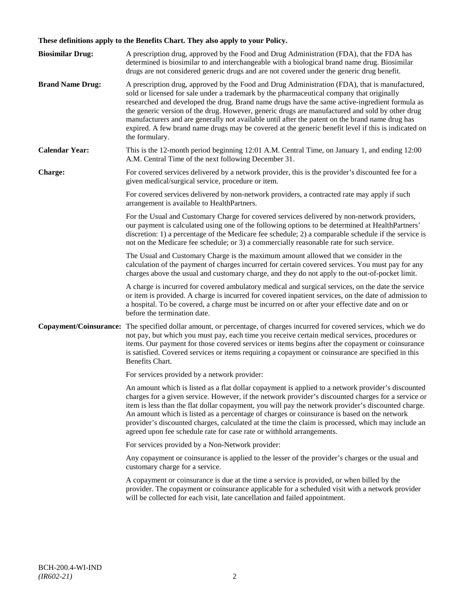# **These definitions apply to the Benefits Chart. They also apply to your Policy.**

| <b>Biosimilar Drug:</b> | A prescription drug, approved by the Food and Drug Administration (FDA), that the FDA has<br>determined is biosimilar to and interchangeable with a biological brand name drug. Biosimilar<br>drugs are not considered generic drugs and are not covered under the generic drug benefit.                                                                                                                                                                                                                                                                                                                                     |
|-------------------------|------------------------------------------------------------------------------------------------------------------------------------------------------------------------------------------------------------------------------------------------------------------------------------------------------------------------------------------------------------------------------------------------------------------------------------------------------------------------------------------------------------------------------------------------------------------------------------------------------------------------------|
| <b>Brand Name Drug:</b> | A prescription drug, approved by the Food and Drug Administration (FDA), that is manufactured,<br>sold or licensed for sale under a trademark by the pharmaceutical company that originally<br>researched and developed the drug. Brand name drugs have the same active-ingredient formula as<br>the generic version of the drug. However, generic drugs are manufactured and sold by other drug<br>manufacturers and are generally not available until after the patent on the brand name drug has<br>expired. A few brand name drugs may be covered at the generic benefit level if this is indicated on<br>the formulary. |
| <b>Calendar Year:</b>   | This is the 12-month period beginning 12:01 A.M. Central Time, on January 1, and ending 12:00<br>A.M. Central Time of the next following December 31.                                                                                                                                                                                                                                                                                                                                                                                                                                                                        |
| Charge:                 | For covered services delivered by a network provider, this is the provider's discounted fee for a<br>given medical/surgical service, procedure or item.                                                                                                                                                                                                                                                                                                                                                                                                                                                                      |
|                         | For covered services delivered by non-network providers, a contracted rate may apply if such<br>arrangement is available to HealthPartners.                                                                                                                                                                                                                                                                                                                                                                                                                                                                                  |
|                         | For the Usual and Customary Charge for covered services delivered by non-network providers,<br>our payment is calculated using one of the following options to be determined at HealthPartners'<br>discretion: 1) a percentage of the Medicare fee schedule; 2) a comparable schedule if the service is<br>not on the Medicare fee schedule; or 3) a commercially reasonable rate for such service.                                                                                                                                                                                                                          |
|                         | The Usual and Customary Charge is the maximum amount allowed that we consider in the<br>calculation of the payment of charges incurred for certain covered services. You must pay for any<br>charges above the usual and customary charge, and they do not apply to the out-of-pocket limit.                                                                                                                                                                                                                                                                                                                                 |
|                         | A charge is incurred for covered ambulatory medical and surgical services, on the date the service<br>or item is provided. A charge is incurred for covered inpatient services, on the date of admission to<br>a hospital. To be covered, a charge must be incurred on or after your effective date and on or<br>before the termination date.                                                                                                                                                                                                                                                                                |
|                         | Copayment/Coinsurance: The specified dollar amount, or percentage, of charges incurred for covered services, which we do<br>not pay, but which you must pay, each time you receive certain medical services, procedures or<br>items. Our payment for those covered services or items begins after the copayment or coinsurance<br>is satisfied. Covered services or items requiring a copayment or coinsurance are specified in this<br>Benefits Chart.                                                                                                                                                                      |
|                         | For services provided by a network provider:                                                                                                                                                                                                                                                                                                                                                                                                                                                                                                                                                                                 |
|                         | An amount which is listed as a flat dollar copayment is applied to a network provider's discounted<br>charges for a given service. However, if the network provider's discounted charges for a service or<br>item is less than the flat dollar copayment, you will pay the network provider's discounted charge.<br>An amount which is listed as a percentage of charges or coinsurance is based on the network<br>provider's discounted charges, calculated at the time the claim is processed, which may include an<br>agreed upon fee schedule rate for case rate or withhold arrangements.                               |
|                         | For services provided by a Non-Network provider:                                                                                                                                                                                                                                                                                                                                                                                                                                                                                                                                                                             |
|                         | Any copayment or coinsurance is applied to the lesser of the provider's charges or the usual and<br>customary charge for a service.                                                                                                                                                                                                                                                                                                                                                                                                                                                                                          |
|                         | A copayment or coinsurance is due at the time a service is provided, or when billed by the<br>provider. The copayment or coinsurance applicable for a scheduled visit with a network provider<br>will be collected for each visit, late cancellation and failed appointment.                                                                                                                                                                                                                                                                                                                                                 |
|                         |                                                                                                                                                                                                                                                                                                                                                                                                                                                                                                                                                                                                                              |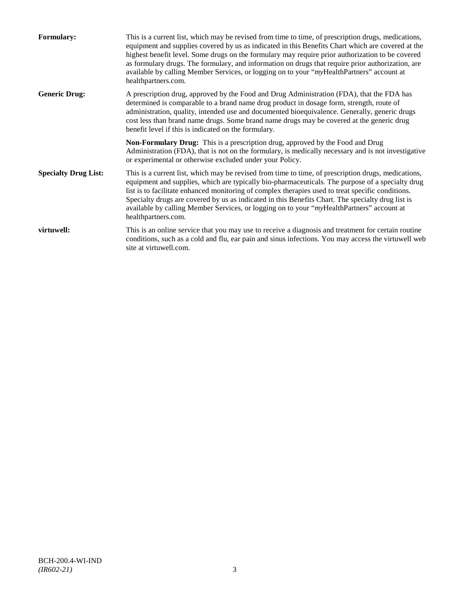| <b>Formulary:</b>           | This is a current list, which may be revised from time to time, of prescription drugs, medications,<br>equipment and supplies covered by us as indicated in this Benefits Chart which are covered at the<br>highest benefit level. Some drugs on the formulary may require prior authorization to be covered<br>as formulary drugs. The formulary, and information on drugs that require prior authorization, are<br>available by calling Member Services, or logging on to your "myHealthPartners" account at<br>healthpartners.com. |
|-----------------------------|---------------------------------------------------------------------------------------------------------------------------------------------------------------------------------------------------------------------------------------------------------------------------------------------------------------------------------------------------------------------------------------------------------------------------------------------------------------------------------------------------------------------------------------|
| <b>Generic Drug:</b>        | A prescription drug, approved by the Food and Drug Administration (FDA), that the FDA has<br>determined is comparable to a brand name drug product in dosage form, strength, route of<br>administration, quality, intended use and documented bioequivalence. Generally, generic drugs<br>cost less than brand name drugs. Some brand name drugs may be covered at the generic drug<br>benefit level if this is indicated on the formulary.                                                                                           |
|                             | <b>Non-Formulary Drug:</b> This is a prescription drug, approved by the Food and Drug<br>Administration (FDA), that is not on the formulary, is medically necessary and is not investigative<br>or experimental or otherwise excluded under your Policy.                                                                                                                                                                                                                                                                              |
| <b>Specialty Drug List:</b> | This is a current list, which may be revised from time to time, of prescription drugs, medications,<br>equipment and supplies, which are typically bio-pharmaceuticals. The purpose of a specialty drug<br>list is to facilitate enhanced monitoring of complex therapies used to treat specific conditions.<br>Specialty drugs are covered by us as indicated in this Benefits Chart. The specialty drug list is<br>available by calling Member Services, or logging on to your "myHealthPartners" account at<br>healthpartners.com. |
| virtuwell:                  | This is an online service that you may use to receive a diagnosis and treatment for certain routine<br>conditions, such as a cold and flu, ear pain and sinus infections. You may access the virtuwell web<br>site at virtuwell.com.                                                                                                                                                                                                                                                                                                  |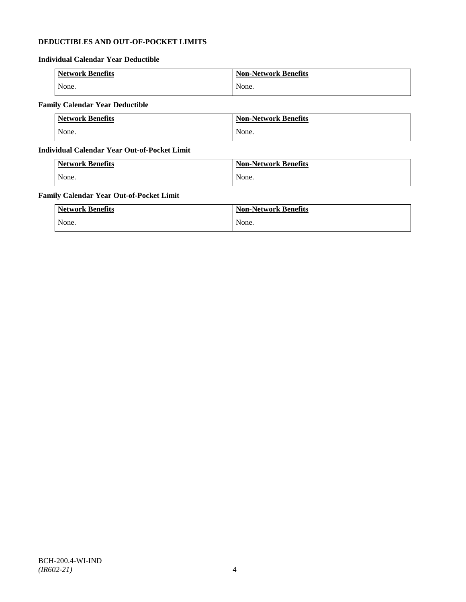# **DEDUCTIBLES AND OUT-OF-POCKET LIMITS**

# **Individual Calendar Year Deductible**

| <b>Network Benefits</b> | <b>Non-Network Benefits</b> |
|-------------------------|-----------------------------|
| None.                   | None.                       |

# **Family Calendar Year Deductible**

| <b>Network Benefits</b> | <b>Non-Network Benefits</b> |
|-------------------------|-----------------------------|
| None.                   | None.                       |

# **Individual Calendar Year Out-of-Pocket Limit**

| <b>Network Benefits</b> | <b>Non-Network Benefits</b> |
|-------------------------|-----------------------------|
| None.                   | None.                       |

# **Family Calendar Year Out-of-Pocket Limit**

| <b>Network Benefits</b> | <b>Non-Network Benefits</b> |
|-------------------------|-----------------------------|
| None.                   | None.                       |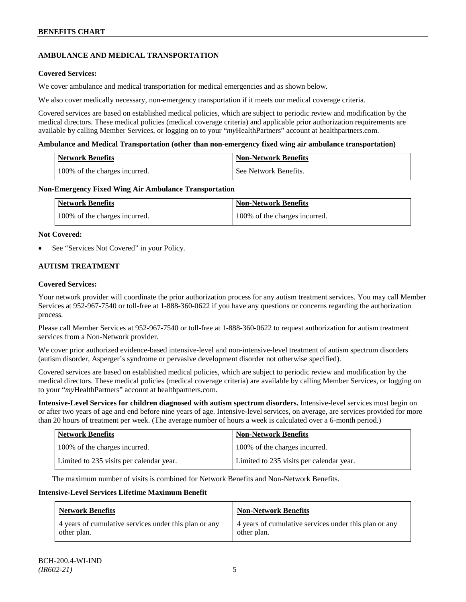# **AMBULANCE AND MEDICAL TRANSPORTATION**

# **Covered Services:**

We cover ambulance and medical transportation for medical emergencies and as shown below.

We also cover medically necessary, non-emergency transportation if it meets our medical coverage criteria.

Covered services are based on established medical policies, which are subject to periodic review and modification by the medical directors. These medical policies (medical coverage criteria) and applicable prior authorization requirements are available by calling Member Services, or logging on to your "*my*HealthPartners" account a[t healthpartners.com.](http://www.healthpartners.com/)

### **Ambulance and Medical Transportation (other than non-emergency fixed wing air ambulance transportation)**

| <b>Network Benefits</b> |                               | Non-Network Benefits  |
|-------------------------|-------------------------------|-----------------------|
|                         | 100% of the charges incurred. | See Network Benefits. |

### **Non-Emergency Fixed Wing Air Ambulance Transportation**

| <b>Network Benefits</b>       | <b>Non-Network Benefits</b>   |
|-------------------------------|-------------------------------|
| 100% of the charges incurred. | 100% of the charges incurred. |

### **Not Covered:**

See "Services Not Covered" in your Policy.

# **AUTISM TREATMENT**

### **Covered Services:**

Your network provider will coordinate the prior authorization process for any autism treatment services. You may call Member Services at 952-967-7540 or toll-free at 1-888-360-0622 if you have any questions or concerns regarding the authorization process.

Please call Member Services at 952-967-7540 or toll-free at 1-888-360-0622 to request authorization for autism treatment services from a Non-Network provider.

We cover prior authorized evidence-based intensive-level and non-intensive-level treatment of autism spectrum disorders (autism disorder, Asperger's syndrome or pervasive development disorder not otherwise specified).

Covered services are based on established medical policies, which are subject to periodic review and modification by the medical directors. These medical policies (medical coverage criteria) are available by calling Member Services, or logging on to your "*my*HealthPartners" account at [healthpartners.com.](http://www.healthpartners.com/)

**Intensive-Level Services for children diagnosed with autism spectrum disorders.** Intensive-level services must begin on or after two years of age and end before nine years of age. Intensive-level services, on average, are services provided for more than 20 hours of treatment per week. (The average number of hours a week is calculated over a 6-month period.)

| <b>Network Benefits</b>                  | <b>Non-Network Benefits</b>              |
|------------------------------------------|------------------------------------------|
| 100% of the charges incurred.            | 100% of the charges incurred.            |
| Limited to 235 visits per calendar year. | Limited to 235 visits per calendar year. |

The maximum number of visits is combined for Network Benefits and Non-Network Benefits.

#### **Intensive-Level Services Lifetime Maximum Benefit**

| <b>Network Benefits</b>                               | <b>Non-Network Benefits</b>                           |
|-------------------------------------------------------|-------------------------------------------------------|
| 4 years of cumulative services under this plan or any | 4 years of cumulative services under this plan or any |
| other plan.                                           | other plan.                                           |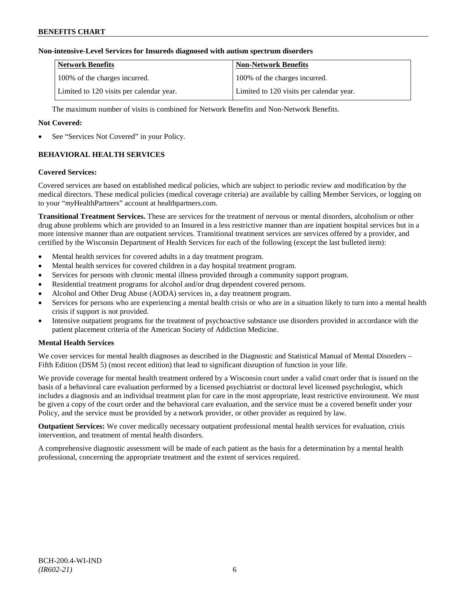# **Non-intensive-Level Services for Insureds diagnosed with autism spectrum disorders**

| Network Benefits                         | <b>Non-Network Benefits</b>              |
|------------------------------------------|------------------------------------------|
| 100% of the charges incurred.            | 100% of the charges incurred.            |
| Limited to 120 visits per calendar year. | Limited to 120 visits per calendar year. |

The maximum number of visits is combined for Network Benefits and Non-Network Benefits.

# **Not Covered:**

See "Services Not Covered" in your Policy.

# **BEHAVIORAL HEALTH SERVICES**

### **Covered Services:**

Covered services are based on established medical policies, which are subject to periodic review and modification by the medical directors. These medical policies (medical coverage criteria) are available by calling Member Services, or logging on to your "*my*HealthPartners" account at [healthpartners.com.](http://www.healthpartners.com/)

**Transitional Treatment Services.** These are services for the treatment of nervous or mental disorders, alcoholism or other drug abuse problems which are provided to an Insured in a less restrictive manner than are inpatient hospital services but in a more intensive manner than are outpatient services. Transitional treatment services are services offered by a provider, and certified by the Wisconsin Department of Health Services for each of the following (except the last bulleted item):

- Mental health services for covered adults in a day treatment program.
- Mental health services for covered children in a day hospital treatment program.
- Services for persons with chronic mental illness provided through a community support program.
- Residential treatment programs for alcohol and/or drug dependent covered persons.
- Alcohol and Other Drug Abuse (AODA) services in, a day treatment program.
- Services for persons who are experiencing a mental health crisis or who are in a situation likely to turn into a mental health crisis if support is not provided.
- Intensive outpatient programs for the treatment of psychoactive substance use disorders provided in accordance with the patient placement criteria of the American Society of Addiction Medicine.

# **Mental Health Services**

We cover services for mental health diagnoses as described in the Diagnostic and Statistical Manual of Mental Disorders – Fifth Edition (DSM 5) (most recent edition) that lead to significant disruption of function in your life.

We provide coverage for mental health treatment ordered by a Wisconsin court under a valid court order that is issued on the basis of a behavioral care evaluation performed by a licensed psychiatrist or doctoral level licensed psychologist, which includes a diagnosis and an individual treatment plan for care in the most appropriate, least restrictive environment. We must be given a copy of the court order and the behavioral care evaluation, and the service must be a covered benefit under your Policy, and the service must be provided by a network provider, or other provider as required by law.

**Outpatient Services:** We cover medically necessary outpatient professional mental health services for evaluation, crisis intervention, and treatment of mental health disorders.

A comprehensive diagnostic assessment will be made of each patient as the basis for a determination by a mental health professional, concerning the appropriate treatment and the extent of services required.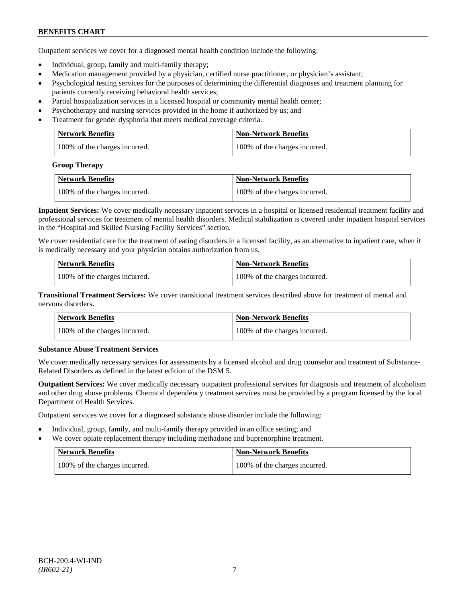Outpatient services we cover for a diagnosed mental health condition include the following:

- Individual, group, family and multi-family therapy;
- Medication management provided by a physician, certified nurse practitioner, or physician's assistant;
- Psychological testing services for the purposes of determining the differential diagnoses and treatment planning for patients currently receiving behavioral health services;
- Partial hospitalization services in a licensed hospital or community mental health center;
- Psychotherapy and nursing services provided in the home if authorized by us; and
- Treatment for gender dysphoria that meets medical coverage criteria.

| <b>Network Benefits</b>       | Non-Network Benefits          |
|-------------------------------|-------------------------------|
| 100% of the charges incurred. | 100% of the charges incurred. |

#### **Group Therapy**

| Network Benefits              | <b>Non-Network Benefits</b>   |
|-------------------------------|-------------------------------|
| 100% of the charges incurred. | 100% of the charges incurred. |

**Inpatient Services:** We cover medically necessary inpatient services in a hospital or licensed residential treatment facility and professional services for treatment of mental health disorders. Medical stabilization is covered under inpatient hospital services in the "Hospital and Skilled Nursing Facility Services" section.

We cover residential care for the treatment of eating disorders in a licensed facility, as an alternative to inpatient care, when it is medically necessary and your physician obtains authorization from us.

| <b>Network Benefits</b>       | <b>Non-Network Benefits</b>   |
|-------------------------------|-------------------------------|
| 100% of the charges incurred. | 100% of the charges incurred. |

**Transitional Treatment Services:** We cover transitional treatment services described above for treatment of mental and nervous disorders**.**

| <b>Network Benefits</b>       | <b>Non-Network Benefits</b>   |
|-------------------------------|-------------------------------|
| 100% of the charges incurred. | 100% of the charges incurred. |

# **Substance Abuse Treatment Services**

We cover medically necessary services for assessments by a licensed alcohol and drug counselor and treatment of Substance-Related Disorders as defined in the latest edition of the DSM 5.

**Outpatient Services:** We cover medically necessary outpatient professional services for diagnosis and treatment of alcoholism and other drug abuse problems. Chemical dependency treatment services must be provided by a program licensed by the local Department of Health Services.

Outpatient services we cover for a diagnosed substance abuse disorder include the following:

- Individual, group, family, and multi-family therapy provided in an office setting; and
- We cover opiate replacement therapy including methadone and buprenorphine treatment.

| Network Benefits              | Non-Network Benefits          |
|-------------------------------|-------------------------------|
| 100% of the charges incurred. | 100% of the charges incurred. |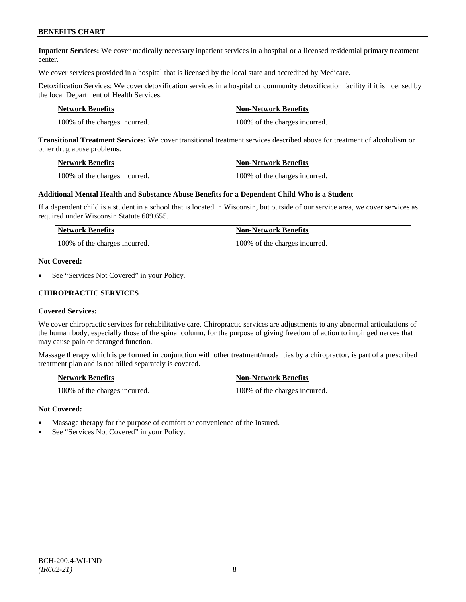**Inpatient Services:** We cover medically necessary inpatient services in a hospital or a licensed residential primary treatment center.

We cover services provided in a hospital that is licensed by the local state and accredited by Medicare.

Detoxification Services: We cover detoxification services in a hospital or community detoxification facility if it is licensed by the local Department of Health Services.

| <b>Network Benefits</b>       | <b>Non-Network Benefits</b>   |
|-------------------------------|-------------------------------|
| 100% of the charges incurred. | 100% of the charges incurred. |

**Transitional Treatment Services:** We cover transitional treatment services described above for treatment of alcoholism or other drug abuse problems.

| <b>Network Benefits</b>       | <b>Non-Network Benefits</b>   |
|-------------------------------|-------------------------------|
| 100% of the charges incurred. | 100% of the charges incurred. |

#### **Additional Mental Health and Substance Abuse Benefits for a Dependent Child Who is a Student**

If a dependent child is a student in a school that is located in Wisconsin, but outside of our service area, we cover services as required under Wisconsin Statute 609.655.

| Network Benefits              | Non-Network Benefits          |
|-------------------------------|-------------------------------|
| 100% of the charges incurred. | 100% of the charges incurred. |

#### **Not Covered:**

See "Services Not Covered" in your Policy.

### **CHIROPRACTIC SERVICES**

#### **Covered Services:**

We cover chiropractic services for rehabilitative care. Chiropractic services are adjustments to any abnormal articulations of the human body, especially those of the spinal column, for the purpose of giving freedom of action to impinged nerves that may cause pain or deranged function.

Massage therapy which is performed in conjunction with other treatment/modalities by a chiropractor, is part of a prescribed treatment plan and is not billed separately is covered.

| <b>Network Benefits</b>       | <b>Non-Network Benefits</b>   |
|-------------------------------|-------------------------------|
| 100% of the charges incurred. | 100% of the charges incurred. |

#### **Not Covered:**

- Massage therapy for the purpose of comfort or convenience of the Insured.
- See "Services Not Covered" in your Policy.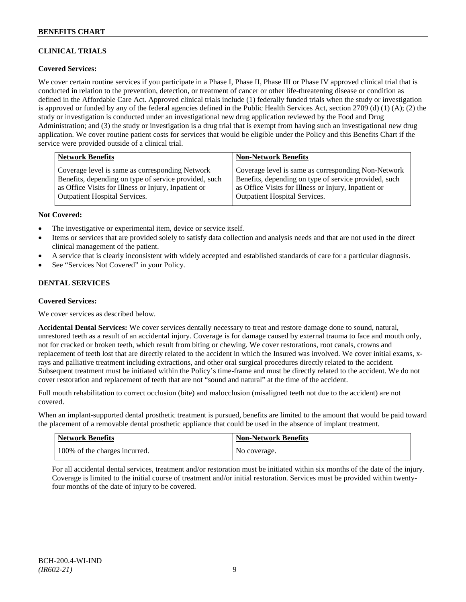# **CLINICAL TRIALS**

# **Covered Services:**

We cover certain routine services if you participate in a Phase I, Phase II, Phase III or Phase IV approved clinical trial that is conducted in relation to the prevention, detection, or treatment of cancer or other life-threatening disease or condition as defined in the Affordable Care Act. Approved clinical trials include (1) federally funded trials when the study or investigation is approved or funded by any of the federal agencies defined in the Public Health Services Act, section 2709 (d) (1) (A); (2) the study or investigation is conducted under an investigational new drug application reviewed by the Food and Drug Administration; and (3) the study or investigation is a drug trial that is exempt from having such an investigational new drug application. We cover routine patient costs for services that would be eligible under the Policy and this Benefits Chart if the service were provided outside of a clinical trial.

| <b>Network Benefits</b>                               | <b>Non-Network Benefits</b>                           |
|-------------------------------------------------------|-------------------------------------------------------|
| Coverage level is same as corresponding Network       | Coverage level is same as corresponding Non-Network   |
| Benefits, depending on type of service provided, such | Benefits, depending on type of service provided, such |
| as Office Visits for Illness or Injury, Inpatient or  | as Office Visits for Illness or Injury, Inpatient or  |
| Outpatient Hospital Services.                         | <b>Outpatient Hospital Services.</b>                  |

### **Not Covered:**

- The investigative or experimental item, device or service itself.
- Items or services that are provided solely to satisfy data collection and analysis needs and that are not used in the direct clinical management of the patient.
- A service that is clearly inconsistent with widely accepted and established standards of care for a particular diagnosis.
- See "Services Not Covered" in your Policy.

# **DENTAL SERVICES**

#### **Covered Services:**

We cover services as described below.

**Accidental Dental Services:** We cover services dentally necessary to treat and restore damage done to sound, natural, unrestored teeth as a result of an accidental injury. Coverage is for damage caused by external trauma to face and mouth only, not for cracked or broken teeth, which result from biting or chewing. We cover restorations, root canals, crowns and replacement of teeth lost that are directly related to the accident in which the Insured was involved. We cover initial exams, xrays and palliative treatment including extractions, and other oral surgical procedures directly related to the accident. Subsequent treatment must be initiated within the Policy's time-frame and must be directly related to the accident. We do not cover restoration and replacement of teeth that are not "sound and natural" at the time of the accident.

Full mouth rehabilitation to correct occlusion (bite) and malocclusion (misaligned teeth not due to the accident) are not covered.

When an implant-supported dental prosthetic treatment is pursued, benefits are limited to the amount that would be paid toward the placement of a removable dental prosthetic appliance that could be used in the absence of implant treatment.

| Network Benefits              | <b>Non-Network Benefits</b> |
|-------------------------------|-----------------------------|
| 100% of the charges incurred. | No coverage.                |

For all accidental dental services, treatment and/or restoration must be initiated within six months of the date of the injury. Coverage is limited to the initial course of treatment and/or initial restoration. Services must be provided within twentyfour months of the date of injury to be covered.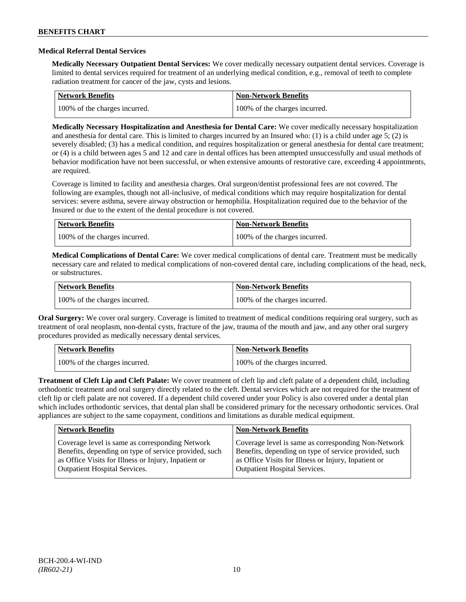### **Medical Referral Dental Services**

**Medically Necessary Outpatient Dental Services:** We cover medically necessary outpatient dental services. Coverage is limited to dental services required for treatment of an underlying medical condition, e.g., removal of teeth to complete radiation treatment for cancer of the jaw, cysts and lesions.

| Network Benefits              | Non-Network Benefits          |
|-------------------------------|-------------------------------|
| 100% of the charges incurred. | 100% of the charges incurred. |

**Medically Necessary Hospitalization and Anesthesia for Dental Care:** We cover medically necessary hospitalization and anesthesia for dental care. This is limited to charges incurred by an Insured who: (1) is a child under age 5; (2) is severely disabled; (3) has a medical condition, and requires hospitalization or general anesthesia for dental care treatment; or (4) is a child between ages 5 and 12 and care in dental offices has been attempted unsuccessfully and usual methods of behavior modification have not been successful, or when extensive amounts of restorative care, exceeding 4 appointments, are required.

Coverage is limited to facility and anesthesia charges. Oral surgeon/dentist professional fees are not covered. The following are examples, though not all-inclusive, of medical conditions which may require hospitalization for dental services: severe asthma, severe airway obstruction or hemophilia. Hospitalization required due to the behavior of the Insured or due to the extent of the dental procedure is not covered.

| Network Benefits              | <b>Non-Network Benefits</b>   |
|-------------------------------|-------------------------------|
| 100% of the charges incurred. | 100% of the charges incurred. |

**Medical Complications of Dental Care:** We cover medical complications of dental care. Treatment must be medically necessary care and related to medical complications of non-covered dental care, including complications of the head, neck, or substructures.

| <b>Network Benefits</b>       | Non-Network Benefits          |
|-------------------------------|-------------------------------|
| 100% of the charges incurred. | 100% of the charges incurred. |

**Oral Surgery:** We cover oral surgery. Coverage is limited to treatment of medical conditions requiring oral surgery, such as treatment of oral neoplasm, non-dental cysts, fracture of the jaw, trauma of the mouth and jaw, and any other oral surgery procedures provided as medically necessary dental services.

| Network Benefits              | <b>Non-Network Benefits</b>   |
|-------------------------------|-------------------------------|
| 100% of the charges incurred. | 100% of the charges incurred. |

**Treatment of Cleft Lip and Cleft Palate:** We cover treatment of cleft lip and cleft palate of a dependent child, including orthodontic treatment and oral surgery directly related to the cleft. Dental services which are not required for the treatment of cleft lip or cleft palate are not covered. If a dependent child covered under your Policy is also covered under a dental plan which includes orthodontic services, that dental plan shall be considered primary for the necessary orthodontic services. Oral appliances are subject to the same copayment, conditions and limitations as durable medical equipment.

| <b>Network Benefits</b>                               | <b>Non-Network Benefits</b>                           |
|-------------------------------------------------------|-------------------------------------------------------|
| Coverage level is same as corresponding Network       | Coverage level is same as corresponding Non-Network   |
| Benefits, depending on type of service provided, such | Benefits, depending on type of service provided, such |
| as Office Visits for Illness or Injury, Inpatient or  | as Office Visits for Illness or Injury, Inpatient or  |
| <b>Outpatient Hospital Services.</b>                  | <b>Outpatient Hospital Services.</b>                  |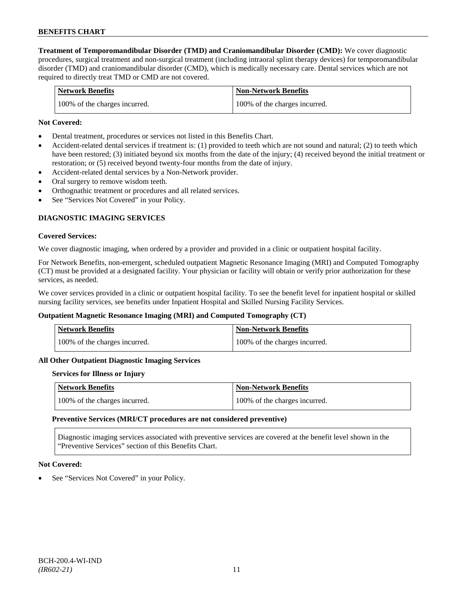**Treatment of Temporomandibular Disorder (TMD) and Craniomandibular Disorder (CMD):** We cover diagnostic procedures, surgical treatment and non-surgical treatment (including intraoral splint therapy devices) for temporomandibular disorder (TMD) and craniomandibular disorder (CMD), which is medically necessary care. Dental services which are not required to directly treat TMD or CMD are not covered.

| <b>Network Benefits</b>       | <b>Non-Network Benefits</b>   |
|-------------------------------|-------------------------------|
| 100% of the charges incurred. | 100% of the charges incurred. |

### **Not Covered:**

- Dental treatment, procedures or services not listed in this Benefits Chart.
- Accident-related dental services if treatment is: (1) provided to teeth which are not sound and natural; (2) to teeth which have been restored; (3) initiated beyond six months from the date of the injury; (4) received beyond the initial treatment or restoration; or (5) received beyond twenty-four months from the date of injury.
- Accident-related dental services by a Non-Network provider.
- Oral surgery to remove wisdom teeth.
- Orthognathic treatment or procedures and all related services.
- See "Services Not Covered" in your Policy.

# **DIAGNOSTIC IMAGING SERVICES**

#### **Covered Services:**

We cover diagnostic imaging, when ordered by a provider and provided in a clinic or outpatient hospital facility.

For Network Benefits, non-emergent, scheduled outpatient Magnetic Resonance Imaging (MRI) and Computed Tomography (CT) must be provided at a designated facility. Your physician or facility will obtain or verify prior authorization for these services, as needed.

We cover services provided in a clinic or outpatient hospital facility. To see the benefit level for inpatient hospital or skilled nursing facility services, see benefits under Inpatient Hospital and Skilled Nursing Facility Services.

#### **Outpatient Magnetic Resonance Imaging (MRI) and Computed Tomography (CT)**

| <b>Network Benefits</b>       | <b>Non-Network Benefits</b>   |
|-------------------------------|-------------------------------|
| 100% of the charges incurred. | 100% of the charges incurred. |

#### **All Other Outpatient Diagnostic Imaging Services**

#### **Services for Illness or Injury**

| Network Benefits              | <b>Non-Network Benefits</b>   |
|-------------------------------|-------------------------------|
| 100% of the charges incurred. | 100% of the charges incurred. |

#### **Preventive Services (MRI/CT procedures are not considered preventive)**

Diagnostic imaging services associated with preventive services are covered at the benefit level shown in the "Preventive Services" section of this Benefits Chart.

#### **Not Covered:**

See "Services Not Covered" in your Policy.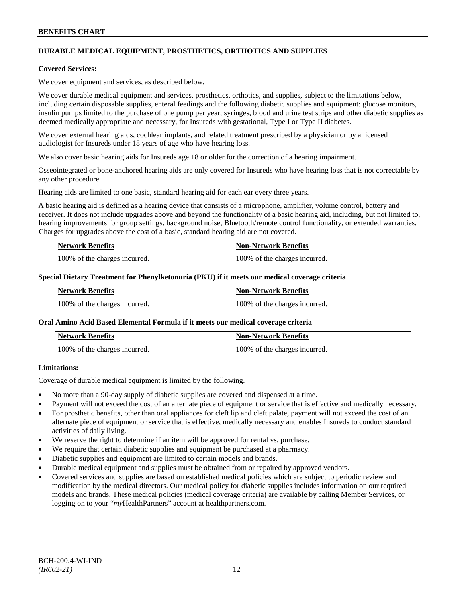# **DURABLE MEDICAL EQUIPMENT, PROSTHETICS, ORTHOTICS AND SUPPLIES**

#### **Covered Services:**

We cover equipment and services, as described below.

We cover durable medical equipment and services, prosthetics, orthotics, and supplies, subject to the limitations below, including certain disposable supplies, enteral feedings and the following diabetic supplies and equipment: glucose monitors, insulin pumps limited to the purchase of one pump per year, syringes, blood and urine test strips and other diabetic supplies as deemed medically appropriate and necessary, for Insureds with gestational, Type I or Type II diabetes.

We cover external hearing aids, cochlear implants, and related treatment prescribed by a physician or by a licensed audiologist for Insureds under 18 years of age who have hearing loss.

We also cover basic hearing aids for Insureds age 18 or older for the correction of a hearing impairment.

Osseointegrated or bone-anchored hearing aids are only covered for Insureds who have hearing loss that is not correctable by any other procedure.

Hearing aids are limited to one basic, standard hearing aid for each ear every three years.

A basic hearing aid is defined as a hearing device that consists of a microphone, amplifier, volume control, battery and receiver. It does not include upgrades above and beyond the functionality of a basic hearing aid, including, but not limited to, hearing improvements for group settings, background noise, Bluetooth/remote control functionality, or extended warranties. Charges for upgrades above the cost of a basic, standard hearing aid are not covered.

| <b>Network Benefits</b>       | <b>Non-Network Benefits</b>   |
|-------------------------------|-------------------------------|
| 100% of the charges incurred. | 100% of the charges incurred. |

#### **Special Dietary Treatment for Phenylketonuria (PKU) if it meets our medical coverage criteria**

| <b>Network Benefits</b>       | <b>Non-Network Benefits</b>   |
|-------------------------------|-------------------------------|
| 100% of the charges incurred. | 100% of the charges incurred. |

#### **Oral Amino Acid Based Elemental Formula if it meets our medical coverage criteria**

| <b>Network Benefits</b>       | <b>Non-Network Benefits</b>   |
|-------------------------------|-------------------------------|
| 100% of the charges incurred. | 100% of the charges incurred. |

# **Limitations:**

Coverage of durable medical equipment is limited by the following.

- No more than a 90-day supply of diabetic supplies are covered and dispensed at a time.
- Payment will not exceed the cost of an alternate piece of equipment or service that is effective and medically necessary.
- For prosthetic benefits, other than oral appliances for cleft lip and cleft palate, payment will not exceed the cost of an alternate piece of equipment or service that is effective, medically necessary and enables Insureds to conduct standard activities of daily living.
- We reserve the right to determine if an item will be approved for rental vs. purchase.
- We require that certain diabetic supplies and equipment be purchased at a pharmacy.
- Diabetic supplies and equipment are limited to certain models and brands.
- Durable medical equipment and supplies must be obtained from or repaired by approved vendors.
- Covered services and supplies are based on established medical policies which are subject to periodic review and modification by the medical directors. Our medical policy for diabetic supplies includes information on our required models and brands. These medical policies (medical coverage criteria) are available by calling Member Services, or logging on to your "*my*HealthPartners" account at [healthpartners.com.](http://www.healthpartners.com/)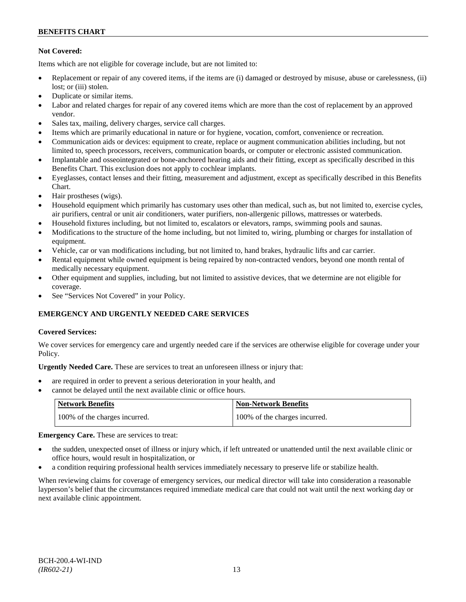# **Not Covered:**

Items which are not eligible for coverage include, but are not limited to:

- Replacement or repair of any covered items, if the items are (i) damaged or destroyed by misuse, abuse or carelessness, (ii) lost; or (iii) stolen.
- Duplicate or similar items.
- Labor and related charges for repair of any covered items which are more than the cost of replacement by an approved vendor.
- Sales tax, mailing, delivery charges, service call charges.
- Items which are primarily educational in nature or for hygiene, vocation, comfort, convenience or recreation.
- Communication aids or devices: equipment to create, replace or augment communication abilities including, but not limited to, speech processors, receivers, communication boards, or computer or electronic assisted communication.
- Implantable and osseointegrated or bone-anchored hearing aids and their fitting, except as specifically described in this Benefits Chart. This exclusion does not apply to cochlear implants.
- Eyeglasses, contact lenses and their fitting, measurement and adjustment, except as specifically described in this Benefits Chart.
- Hair prostheses (wigs).
- Household equipment which primarily has customary uses other than medical, such as, but not limited to, exercise cycles, air purifiers, central or unit air conditioners, water purifiers, non-allergenic pillows, mattresses or waterbeds.
- Household fixtures including, but not limited to, escalators or elevators, ramps, swimming pools and saunas.
- Modifications to the structure of the home including, but not limited to, wiring, plumbing or charges for installation of equipment.
- Vehicle, car or van modifications including, but not limited to, hand brakes, hydraulic lifts and car carrier.
- Rental equipment while owned equipment is being repaired by non-contracted vendors, beyond one month rental of medically necessary equipment.
- Other equipment and supplies, including, but not limited to assistive devices, that we determine are not eligible for coverage.
- See "Services Not Covered" in your Policy.

# **EMERGENCY AND URGENTLY NEEDED CARE SERVICES**

# **Covered Services:**

We cover services for emergency care and urgently needed care if the services are otherwise eligible for coverage under your Policy.

**Urgently Needed Care.** These are services to treat an unforeseen illness or injury that:

- are required in order to prevent a serious deterioration in your health, and
- cannot be delayed until the next available clinic or office hours.

| Network Benefits              | <b>Non-Network Benefits</b>   |
|-------------------------------|-------------------------------|
| 100% of the charges incurred. | 100% of the charges incurred. |

**Emergency Care.** These are services to treat:

- the sudden, unexpected onset of illness or injury which, if left untreated or unattended until the next available clinic or office hours, would result in hospitalization, or
- a condition requiring professional health services immediately necessary to preserve life or stabilize health.

When reviewing claims for coverage of emergency services, our medical director will take into consideration a reasonable layperson's belief that the circumstances required immediate medical care that could not wait until the next working day or next available clinic appointment.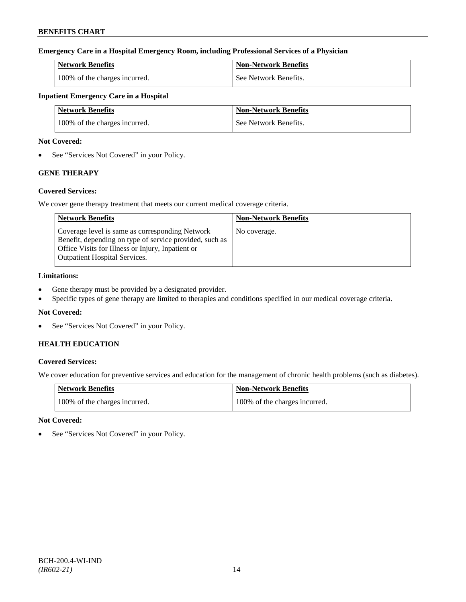# **Emergency Care in a Hospital Emergency Room, including Professional Services of a Physician**

| <b>Network Benefits</b>       | Non-Network Benefits  |
|-------------------------------|-----------------------|
| 100% of the charges incurred. | See Network Benefits. |

# **Inpatient Emergency Care in a Hospital**

| <b>Network Benefits</b>       | <b>Non-Network Benefits</b> |
|-------------------------------|-----------------------------|
| 100% of the charges incurred. | See Network Benefits.       |

### **Not Covered:**

• See "Services Not Covered" in your Policy.

# **GENE THERAPY**

# **Covered Services:**

We cover gene therapy treatment that meets our current medical coverage criteria.

| <b>Network Benefits</b>                                                                                                                                                                                 | <b>Non-Network Benefits</b> |
|---------------------------------------------------------------------------------------------------------------------------------------------------------------------------------------------------------|-----------------------------|
| Coverage level is same as corresponding Network<br>Benefit, depending on type of service provided, such as<br>Office Visits for Illness or Injury, Inpatient or<br><b>Outpatient Hospital Services.</b> | No coverage.                |

# **Limitations:**

- Gene therapy must be provided by a designated provider.
- Specific types of gene therapy are limited to therapies and conditions specified in our medical coverage criteria.

# **Not Covered:**

• See "Services Not Covered" in your Policy.

# **HEALTH EDUCATION**

# **Covered Services:**

We cover education for preventive services and education for the management of chronic health problems (such as diabetes).

| <b>Network Benefits</b>       | Non-Network Benefits          |
|-------------------------------|-------------------------------|
| 100% of the charges incurred. | 100% of the charges incurred. |

# **Not Covered:**

See "Services Not Covered" in your Policy.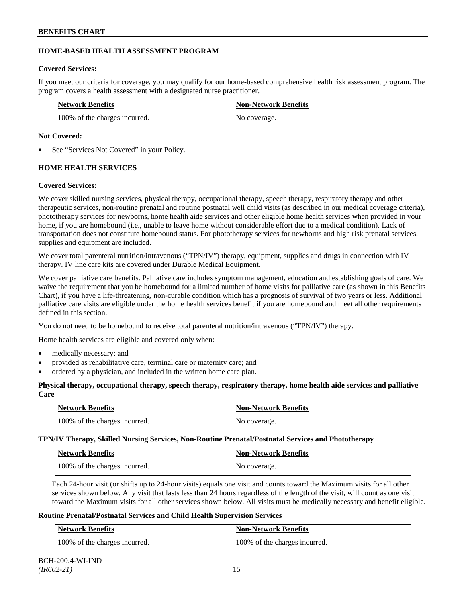# **HOME-BASED HEALTH ASSESSMENT PROGRAM**

# **Covered Services:**

If you meet our criteria for coverage, you may qualify for our home-based comprehensive health risk assessment program. The program covers a health assessment with a designated nurse practitioner.

| <b>Network Benefits</b>       | <b>Non-Network Benefits</b> |
|-------------------------------|-----------------------------|
| 100% of the charges incurred. | No coverage.                |

# **Not Covered:**

See "Services Not Covered" in your Policy.

# **HOME HEALTH SERVICES**

# **Covered Services:**

We cover skilled nursing services, physical therapy, occupational therapy, speech therapy, respiratory therapy and other therapeutic services, non-routine prenatal and routine postnatal well child visits (as described in our medical coverage criteria), phototherapy services for newborns, home health aide services and other eligible home health services when provided in your home, if you are homebound (i.e., unable to leave home without considerable effort due to a medical condition). Lack of transportation does not constitute homebound status. For phototherapy services for newborns and high risk prenatal services, supplies and equipment are included.

We cover total parenteral nutrition/intravenous ("TPN/IV") therapy, equipment, supplies and drugs in connection with IV therapy. IV line care kits are covered under Durable Medical Equipment.

We cover palliative care benefits. Palliative care includes symptom management, education and establishing goals of care. We waive the requirement that you be homebound for a limited number of home visits for palliative care (as shown in this Benefits Chart), if you have a life-threatening, non-curable condition which has a prognosis of survival of two years or less. Additional palliative care visits are eligible under the home health services benefit if you are homebound and meet all other requirements defined in this section.

You do not need to be homebound to receive total parenteral nutrition/intravenous ("TPN/IV") therapy.

Home health services are eligible and covered only when:

- medically necessary; and
- provided as rehabilitative care, terminal care or maternity care; and
- ordered by a physician, and included in the written home care plan.

# **Physical therapy, occupational therapy, speech therapy, respiratory therapy, home health aide services and palliative Care**

| <b>Network Benefits</b>       | <b>Non-Network Benefits</b> |
|-------------------------------|-----------------------------|
| 100% of the charges incurred. | No coverage.                |

**TPN/IV Therapy, Skilled Nursing Services, Non-Routine Prenatal/Postnatal Services and Phototherapy**

| <b>Network Benefits</b>       | <b>Non-Network Benefits</b> |
|-------------------------------|-----------------------------|
| 100% of the charges incurred. | No coverage.                |

Each 24-hour visit (or shifts up to 24-hour visits) equals one visit and counts toward the Maximum visits for all other services shown below. Any visit that lasts less than 24 hours regardless of the length of the visit, will count as one visit toward the Maximum visits for all other services shown below. All visits must be medically necessary and benefit eligible.

# **Routine Prenatal/Postnatal Services and Child Health Supervision Services**

| <b>Network Benefits</b>       | <b>Non-Network Benefits</b>   |
|-------------------------------|-------------------------------|
| 100% of the charges incurred. | 100% of the charges incurred. |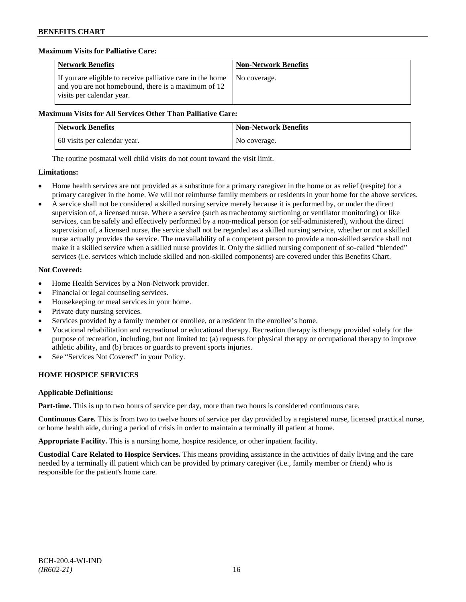# **Maximum Visits for Palliative Care:**

| <b>Network Benefits</b>                                                                                                                        | <b>Non-Network Benefits</b> |
|------------------------------------------------------------------------------------------------------------------------------------------------|-----------------------------|
| If you are eligible to receive palliative care in the home<br>and you are not homebound, there is a maximum of 12<br>visits per calendar year. | No coverage.                |

### **Maximum Visits for All Services Other Than Palliative Care:**

| <b>Network Benefits</b>      | <b>Non-Network Benefits</b> |
|------------------------------|-----------------------------|
| 60 visits per calendar year. | No coverage.                |

The routine postnatal well child visits do not count toward the visit limit.

### **Limitations:**

- Home health services are not provided as a substitute for a primary caregiver in the home or as relief (respite) for a primary caregiver in the home. We will not reimburse family members or residents in your home for the above services.
- A service shall not be considered a skilled nursing service merely because it is performed by, or under the direct supervision of, a licensed nurse. Where a service (such as tracheotomy suctioning or ventilator monitoring) or like services, can be safely and effectively performed by a non-medical person (or self-administered), without the direct supervision of, a licensed nurse, the service shall not be regarded as a skilled nursing service, whether or not a skilled nurse actually provides the service. The unavailability of a competent person to provide a non-skilled service shall not make it a skilled service when a skilled nurse provides it. Only the skilled nursing component of so-called "blended" services (i.e. services which include skilled and non-skilled components) are covered under this Benefits Chart.

# **Not Covered:**

- Home Health Services by a Non-Network provider.
- Financial or legal counseling services.
- Housekeeping or meal services in your home.
- Private duty nursing services.
- Services provided by a family member or enrollee, or a resident in the enrollee's home.
- Vocational rehabilitation and recreational or educational therapy. Recreation therapy is therapy provided solely for the purpose of recreation, including, but not limited to: (a) requests for physical therapy or occupational therapy to improve athletic ability, and (b) braces or guards to prevent sports injuries.
- See "Services Not Covered" in your Policy.

# **HOME HOSPICE SERVICES**

# **Applicable Definitions:**

**Part-time.** This is up to two hours of service per day, more than two hours is considered continuous care.

**Continuous Care.** This is from two to twelve hours of service per day provided by a registered nurse, licensed practical nurse, or home health aide, during a period of crisis in order to maintain a terminally ill patient at home.

**Appropriate Facility.** This is a nursing home, hospice residence, or other inpatient facility.

**Custodial Care Related to Hospice Services.** This means providing assistance in the activities of daily living and the care needed by a terminally ill patient which can be provided by primary caregiver (i.e., family member or friend) who is responsible for the patient's home care.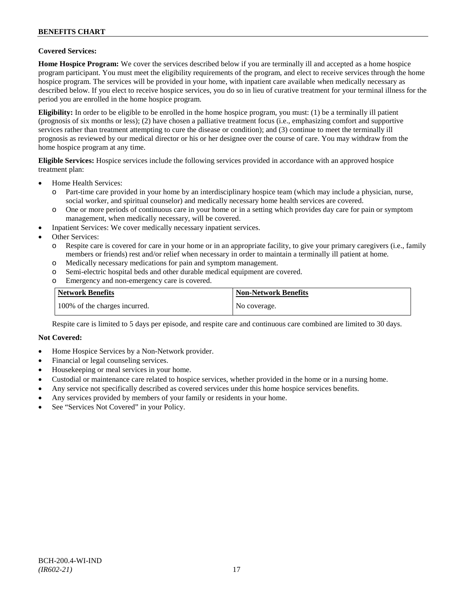### **Covered Services:**

**Home Hospice Program:** We cover the services described below if you are terminally ill and accepted as a home hospice program participant. You must meet the eligibility requirements of the program, and elect to receive services through the home hospice program. The services will be provided in your home, with inpatient care available when medically necessary as described below. If you elect to receive hospice services, you do so in lieu of curative treatment for your terminal illness for the period you are enrolled in the home hospice program.

**Eligibility:** In order to be eligible to be enrolled in the home hospice program, you must: (1) be a terminally ill patient (prognosis of six months or less); (2) have chosen a palliative treatment focus (i.e., emphasizing comfort and supportive services rather than treatment attempting to cure the disease or condition); and (3) continue to meet the terminally ill prognosis as reviewed by our medical director or his or her designee over the course of care. You may withdraw from the home hospice program at any time.

**Eligible Services:** Hospice services include the following services provided in accordance with an approved hospice treatment plan:

- Home Health Services:
	- o Part-time care provided in your home by an interdisciplinary hospice team (which may include a physician, nurse, social worker, and spiritual counselor) and medically necessary home health services are covered.
	- o One or more periods of continuous care in your home or in a setting which provides day care for pain or symptom management, when medically necessary, will be covered.
- Inpatient Services: We cover medically necessary inpatient services.
- Other Services:
	- o Respite care is covered for care in your home or in an appropriate facility, to give your primary caregivers (i.e., family members or friends) rest and/or relief when necessary in order to maintain a terminally ill patient at home*.*
	- o Medically necessary medications for pain and symptom management.
	- o Semi-electric hospital beds and other durable medical equipment are covered.
	- o Emergency and non-emergency care is covered.

| <b>Network Benefits</b>       | <b>Non-Network Benefits</b> |
|-------------------------------|-----------------------------|
| 100% of the charges incurred. | No coverage.                |

Respite care is limited to 5 days per episode, and respite care and continuous care combined are limited to 30 days.

#### **Not Covered:**

- Home Hospice Services by a Non-Network provider.
- Financial or legal counseling services.
- Housekeeping or meal services in your home.
- Custodial or maintenance care related to hospice services, whether provided in the home or in a nursing home.
- Any service not specifically described as covered services under this home hospice services benefits.
- Any services provided by members of your family or residents in your home.
- See "Services Not Covered" in your Policy.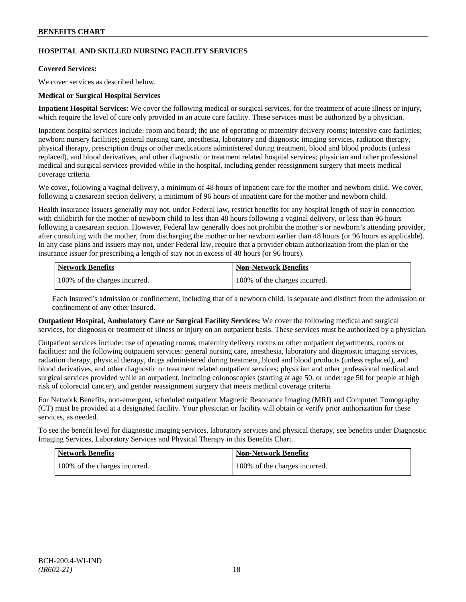# **HOSPITAL AND SKILLED NURSING FACILITY SERVICES**

### **Covered Services:**

We cover services as described below.

### **Medical or Surgical Hospital Services**

**Inpatient Hospital Services:** We cover the following medical or surgical services, for the treatment of acute illness or injury, which require the level of care only provided in an acute care facility. These services must be authorized by a physician.

Inpatient hospital services include: room and board; the use of operating or maternity delivery rooms; intensive care facilities; newborn nursery facilities; general nursing care, anesthesia, laboratory and diagnostic imaging services, radiation therapy, physical therapy, prescription drugs or other medications administered during treatment, blood and blood products (unless replaced), and blood derivatives, and other diagnostic or treatment related hospital services; physician and other professional medical and surgical services provided while in the hospital, including gender reassignment surgery that meets medical coverage criteria.

We cover, following a vaginal delivery, a minimum of 48 hours of inpatient care for the mother and newborn child. We cover, following a caesarean section delivery, a minimum of 96 hours of inpatient care for the mother and newborn child.

Health insurance issuers generally may not, under Federal law, restrict benefits for any hospital length of stay in connection with childbirth for the mother of newborn child to less than 48 hours following a vaginal delivery, or less than 96 hours following a caesarean section. However, Federal law generally does not prohibit the mother's or newborn's attending provider, after consulting with the mother, from discharging the mother or her newborn earlier than 48 hours (or 96 hours as applicable). In any case plans and issuers may not, under Federal law, require that a provider obtain authorization from the plan or the insurance issuer for prescribing a length of stay not in excess of 48 hours (or 96 hours).

| <b>Network Benefits</b>       | Non-Network Benefits          |
|-------------------------------|-------------------------------|
| 100% of the charges incurred. | 100% of the charges incurred. |

Each Insured's admission or confinement, including that of a newborn child, is separate and distinct from the admission or confinement of any other Insured.

**Outpatient Hospital, Ambulatory Care or Surgical Facility Services:** We cover the following medical and surgical services, for diagnosis or treatment of illness or injury on an outpatient basis. These services must be authorized by a physician.

Outpatient services include: use of operating rooms, maternity delivery rooms or other outpatient departments, rooms or facilities; and the following outpatient services: general nursing care, anesthesia, laboratory and diagnostic imaging services, radiation therapy, physical therapy, drugs administered during treatment, blood and blood products (unless replaced), and blood derivatives, and other diagnostic or treatment related outpatient services; physician and other professional medical and surgical services provided while an outpatient, including colonoscopies (starting at age 50, or under age 50 for people at high risk of colorectal cancer), and gender reassignment surgery that meets medical coverage criteria.

For Network Benefits, non-emergent, scheduled outpatient Magnetic Resonance Imaging (MRI) and Computed Tomography (CT) must be provided at a designated facility. Your physician or facility will obtain or verify prior authorization for these services, as needed.

To see the benefit level for diagnostic imaging services, laboratory services and physical therapy, see benefits under Diagnostic Imaging Services, Laboratory Services and Physical Therapy in this Benefits Chart.

| <b>Network Benefits</b>       | <b>Non-Network Benefits</b>   |
|-------------------------------|-------------------------------|
| 100% of the charges incurred. | 100% of the charges incurred. |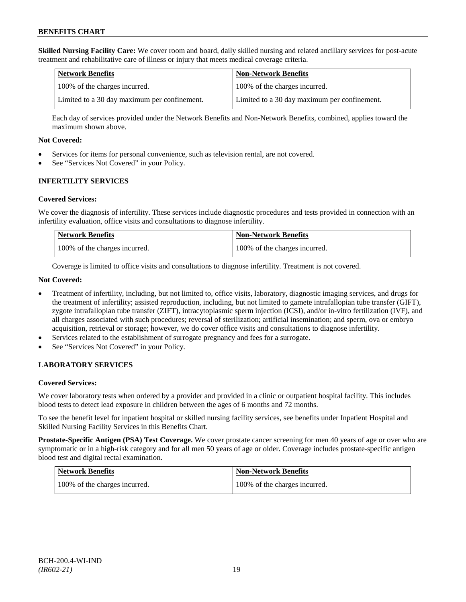**Skilled Nursing Facility Care:** We cover room and board, daily skilled nursing and related ancillary services for post-acute treatment and rehabilitative care of illness or injury that meets medical coverage criteria.

| Network Benefits                             | <b>Non-Network Benefits</b>                  |
|----------------------------------------------|----------------------------------------------|
| 100% of the charges incurred.                | 100% of the charges incurred.                |
| Limited to a 30 day maximum per confinement. | Limited to a 30 day maximum per confinement. |

Each day of services provided under the Network Benefits and Non-Network Benefits, combined, applies toward the maximum shown above.

### **Not Covered:**

- Services for items for personal convenience, such as television rental, are not covered.
- See "Services Not Covered" in your Policy.

# **INFERTILITY SERVICES**

### **Covered Services:**

We cover the diagnosis of infertility. These services include diagnostic procedures and tests provided in connection with an infertility evaluation, office visits and consultations to diagnose infertility.

| <b>Network Benefits</b>       | <b>Non-Network Benefits</b>   |
|-------------------------------|-------------------------------|
| 100% of the charges incurred. | 100% of the charges incurred. |

Coverage is limited to office visits and consultations to diagnose infertility. Treatment is not covered.

### **Not Covered:**

- Treatment of infertility, including, but not limited to, office visits, laboratory, diagnostic imaging services, and drugs for the treatment of infertility; assisted reproduction, including, but not limited to gamete intrafallopian tube transfer (GIFT), zygote intrafallopian tube transfer (ZIFT), intracytoplasmic sperm injection (ICSI), and/or in-vitro fertilization (IVF), and all charges associated with such procedures; reversal of sterilization; artificial insemination; and sperm, ova or embryo acquisition, retrieval or storage; however, we do cover office visits and consultations to diagnose infertility.
- Services related to the establishment of surrogate pregnancy and fees for a surrogate.
- See "Services Not Covered" in your Policy.

# **LABORATORY SERVICES**

#### **Covered Services:**

We cover laboratory tests when ordered by a provider and provided in a clinic or outpatient hospital facility. This includes blood tests to detect lead exposure in children between the ages of 6 months and 72 months.

To see the benefit level for inpatient hospital or skilled nursing facility services, see benefits under Inpatient Hospital and Skilled Nursing Facility Services in this Benefits Chart.

**Prostate-Specific Antigen (PSA) Test Coverage.** We cover prostate cancer screening for men 40 years of age or over who are symptomatic or in a high-risk category and for all men 50 years of age or older. Coverage includes prostate-specific antigen blood test and digital rectal examination.

| Network Benefits              | Non-Network Benefits          |
|-------------------------------|-------------------------------|
| 100% of the charges incurred. | 100% of the charges incurred. |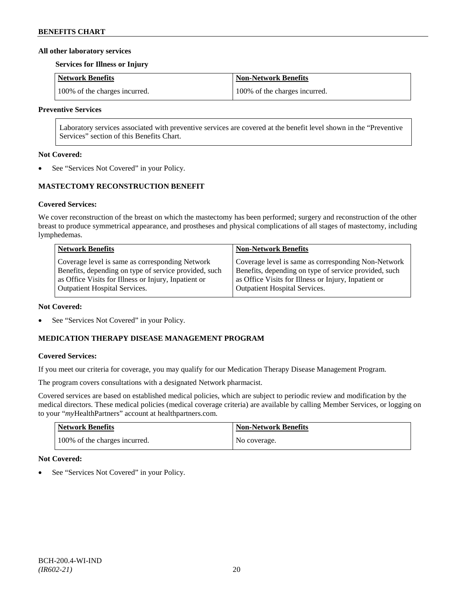### **All other laboratory services**

#### **Services for Illness or Injury**

| Network Benefits              | Non-Network Benefits          |
|-------------------------------|-------------------------------|
| 100% of the charges incurred. | 100% of the charges incurred. |

### **Preventive Services**

Laboratory services associated with preventive services are covered at the benefit level shown in the "Preventive Services" section of this Benefits Chart.

### **Not Covered:**

See "Services Not Covered" in your Policy.

# **MASTECTOMY RECONSTRUCTION BENEFIT**

# **Covered Services:**

We cover reconstruction of the breast on which the mastectomy has been performed; surgery and reconstruction of the other breast to produce symmetrical appearance, and prostheses and physical complications of all stages of mastectomy, including lymphedemas.

| <b>Network Benefits</b>                               | <b>Non-Network Benefits</b>                           |
|-------------------------------------------------------|-------------------------------------------------------|
| Coverage level is same as corresponding Network       | Coverage level is same as corresponding Non-Network   |
| Benefits, depending on type of service provided, such | Benefits, depending on type of service provided, such |
| as Office Visits for Illness or Injury, Inpatient or  | as Office Visits for Illness or Injury, Inpatient or  |
| Outpatient Hospital Services.                         | <b>Outpatient Hospital Services.</b>                  |

#### **Not Covered:**

See "Services Not Covered" in your Policy.

# **MEDICATION THERAPY DISEASE MANAGEMENT PROGRAM**

# **Covered Services:**

If you meet our criteria for coverage, you may qualify for our Medication Therapy Disease Management Program.

The program covers consultations with a designated Network pharmacist.

Covered services are based on established medical policies, which are subject to periodic review and modification by the medical directors. These medical policies (medical coverage criteria) are available by calling Member Services, or logging on to your "*my*HealthPartners" account at [healthpartners.com.](http://www.healthpartners.com/)

| <b>Network Benefits</b>       | <b>Non-Network Benefits</b> |
|-------------------------------|-----------------------------|
| 100% of the charges incurred. | No coverage.                |

# **Not Covered:**

See "Services Not Covered" in your Policy.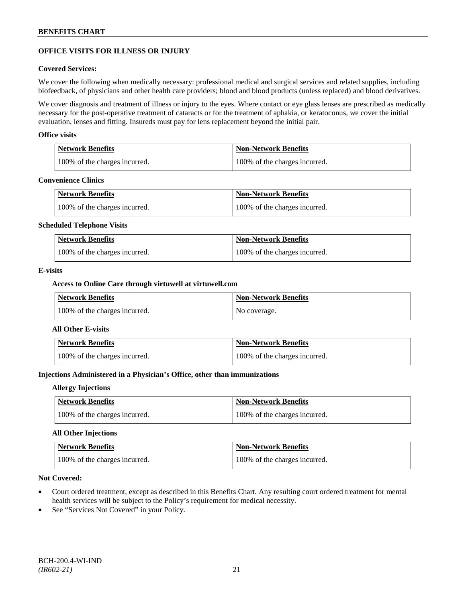# **OFFICE VISITS FOR ILLNESS OR INJURY**

### **Covered Services:**

We cover the following when medically necessary: professional medical and surgical services and related supplies, including biofeedback, of physicians and other health care providers; blood and blood products (unless replaced) and blood derivatives.

We cover diagnosis and treatment of illness or injury to the eyes. Where contact or eye glass lenses are prescribed as medically necessary for the post-operative treatment of cataracts or for the treatment of aphakia, or keratoconus, we cover the initial evaluation, lenses and fitting. Insureds must pay for lens replacement beyond the initial pair.

### **Office visits**

| Network Benefits              | <b>Non-Network Benefits</b>   |
|-------------------------------|-------------------------------|
| 100% of the charges incurred. | 100% of the charges incurred. |

#### **Convenience Clinics**

| <b>Network Benefits</b>       | <b>Non-Network Benefits</b>   |
|-------------------------------|-------------------------------|
| 100% of the charges incurred. | 100% of the charges incurred. |

#### **Scheduled Telephone Visits**

| <b>Network Benefits</b>       | <b>Non-Network Benefits</b>   |
|-------------------------------|-------------------------------|
| 100% of the charges incurred. | 100% of the charges incurred. |

### **E-visits**

### **Access to Online Care through virtuwell a[t virtuwell.com](http://www.virtuwell.com/)**

| <b>Network Benefits</b>       | <b>Non-Network Benefits</b> |
|-------------------------------|-----------------------------|
| 100% of the charges incurred. | No coverage.                |

### **All Other E-visits**

| <b>Network Benefits</b>       | Non-Network Benefits          |
|-------------------------------|-------------------------------|
| 100% of the charges incurred. | 100% of the charges incurred. |

# **Injections Administered in a Physician's Office, other than immunizations**

#### **Allergy Injections**

| Network Benefits              | <b>Non-Network Benefits</b>   |
|-------------------------------|-------------------------------|
| 100% of the charges incurred. | 100% of the charges incurred. |

# **All Other Injections**

| Network Benefits              | <b>Non-Network Benefits</b>   |
|-------------------------------|-------------------------------|
| 100% of the charges incurred. | 100% of the charges incurred. |

### **Not Covered:**

- Court ordered treatment, except as described in this Benefits Chart. Any resulting court ordered treatment for mental health services will be subject to the Policy's requirement for medical necessity.
- See "Services Not Covered" in your Policy.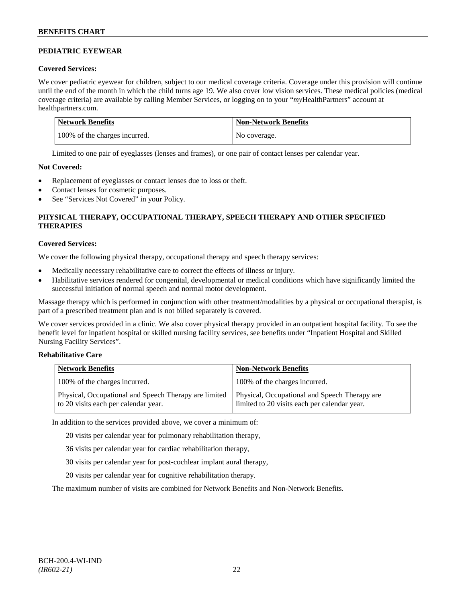# **PEDIATRIC EYEWEAR**

# **Covered Services:**

We cover pediatric eyewear for children, subject to our medical coverage criteria. Coverage under this provision will continue until the end of the month in which the child turns age 19. We also cover low vision services. These medical policies (medical coverage criteria) are available by calling Member Services, or logging on to your "*my*HealthPartners" account at [healthpartners.com.](http://www.healthpartners.com/)

| Network Benefits              | <b>Non-Network Benefits</b> |
|-------------------------------|-----------------------------|
| 100% of the charges incurred. | No coverage.                |

Limited to one pair of eyeglasses (lenses and frames), or one pair of contact lenses per calendar year.

# **Not Covered:**

- Replacement of eyeglasses or contact lenses due to loss or theft.
- Contact lenses for cosmetic purposes.
- See "Services Not Covered" in your Policy.

# **PHYSICAL THERAPY, OCCUPATIONAL THERAPY, SPEECH THERAPY AND OTHER SPECIFIED THERAPIES**

# **Covered Services:**

We cover the following physical therapy, occupational therapy and speech therapy services:

- Medically necessary rehabilitative care to correct the effects of illness or injury.
- Habilitative services rendered for congenital, developmental or medical conditions which have significantly limited the successful initiation of normal speech and normal motor development.

Massage therapy which is performed in conjunction with other treatment/modalities by a physical or occupational therapist, is part of a prescribed treatment plan and is not billed separately is covered.

We cover services provided in a clinic. We also cover physical therapy provided in an outpatient hospital facility. To see the benefit level for inpatient hospital or skilled nursing facility services, see benefits under "Inpatient Hospital and Skilled Nursing Facility Services".

# **Rehabilitative Care**

| <b>Network Benefits</b>                                                                       | <b>Non-Network Benefits</b>                                                                   |
|-----------------------------------------------------------------------------------------------|-----------------------------------------------------------------------------------------------|
| 100% of the charges incurred.                                                                 | 100% of the charges incurred.                                                                 |
| Physical, Occupational and Speech Therapy are limited<br>to 20 visits each per calendar year. | Physical, Occupational and Speech Therapy are<br>limited to 20 visits each per calendar year. |

In addition to the services provided above, we cover a minimum of:

20 visits per calendar year for pulmonary rehabilitation therapy,

- 36 visits per calendar year for cardiac rehabilitation therapy,
- 30 visits per calendar year for post-cochlear implant aural therapy,
- 20 visits per calendar year for cognitive rehabilitation therapy.

The maximum number of visits are combined for Network Benefits and Non-Network Benefits.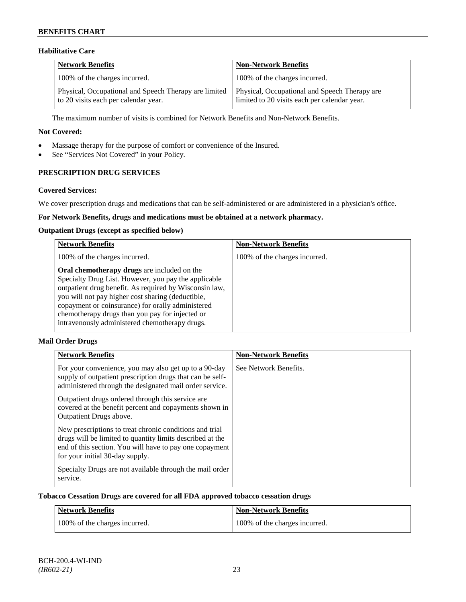# **Habilitative Care**

| Network Benefits                                                                              | <b>Non-Network Benefits</b>                                                                   |
|-----------------------------------------------------------------------------------------------|-----------------------------------------------------------------------------------------------|
| 100% of the charges incurred.                                                                 | 100% of the charges incurred.                                                                 |
| Physical, Occupational and Speech Therapy are limited<br>to 20 visits each per calendar year. | Physical, Occupational and Speech Therapy are<br>limited to 20 visits each per calendar year. |

The maximum number of visits is combined for Network Benefits and Non-Network Benefits.

### **Not Covered:**

- Massage therapy for the purpose of comfort or convenience of the Insured.
- See "Services Not Covered" in your Policy.

# **PRESCRIPTION DRUG SERVICES**

### **Covered Services:**

We cover prescription drugs and medications that can be self-administered or are administered in a physician's office.

# **For Network Benefits, drugs and medications must be obtained at a network pharmacy.**

### **Outpatient Drugs (except as specified below)**

| <b>Network Benefits</b>                                                                                                                                                                                                                                                                                                                                                      | <b>Non-Network Benefits</b>   |
|------------------------------------------------------------------------------------------------------------------------------------------------------------------------------------------------------------------------------------------------------------------------------------------------------------------------------------------------------------------------------|-------------------------------|
| 100% of the charges incurred.                                                                                                                                                                                                                                                                                                                                                | 100% of the charges incurred. |
| Oral chemotherapy drugs are included on the<br>Specialty Drug List. However, you pay the applicable<br>outpatient drug benefit. As required by Wisconsin law,<br>you will not pay higher cost sharing (deductible,<br>copayment or coinsurance) for orally administered<br>chemotherapy drugs than you pay for injected or<br>intravenously administered chemotherapy drugs. |                               |

# **Mail Order Drugs**

| <b>Network Benefits</b>                                                                                                                                                                                            | <b>Non-Network Benefits</b> |
|--------------------------------------------------------------------------------------------------------------------------------------------------------------------------------------------------------------------|-----------------------------|
| For your convenience, you may also get up to a 90-day<br>supply of outpatient prescription drugs that can be self-<br>administered through the designated mail order service.                                      | See Network Benefits.       |
| Outpatient drugs ordered through this service are.<br>covered at the benefit percent and copayments shown in<br>Outpatient Drugs above.                                                                            |                             |
| New prescriptions to treat chronic conditions and trial<br>drugs will be limited to quantity limits described at the<br>end of this section. You will have to pay one copayment<br>for your initial 30-day supply. |                             |
| Specialty Drugs are not available through the mail order<br>service.                                                                                                                                               |                             |

### **Tobacco Cessation Drugs are covered for all FDA approved tobacco cessation drugs**

| Network Benefits              | <b>Non-Network Benefits</b>   |
|-------------------------------|-------------------------------|
| 100% of the charges incurred. | 100% of the charges incurred. |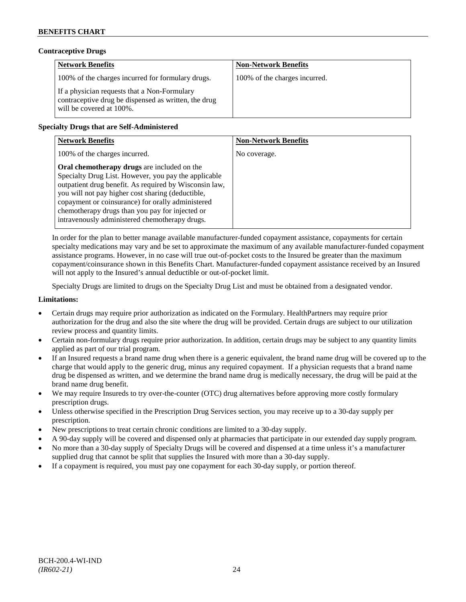# **Contraceptive Drugs**

| <b>Network Benefits</b>                                                                                                          | <b>Non-Network Benefits</b>   |
|----------------------------------------------------------------------------------------------------------------------------------|-------------------------------|
| 100% of the charges incurred for formulary drugs.                                                                                | 100% of the charges incurred. |
| If a physician requests that a Non-Formulary<br>contraceptive drug be dispensed as written, the drug<br>will be covered at 100%. |                               |

# **Specialty Drugs that are Self-Administered**

| <b>Network Benefits</b>                                                                                                                                                                                                                                                                                                                                                      | <b>Non-Network Benefits</b> |
|------------------------------------------------------------------------------------------------------------------------------------------------------------------------------------------------------------------------------------------------------------------------------------------------------------------------------------------------------------------------------|-----------------------------|
| 100% of the charges incurred.                                                                                                                                                                                                                                                                                                                                                | No coverage.                |
| Oral chemotherapy drugs are included on the<br>Specialty Drug List. However, you pay the applicable<br>outpatient drug benefit. As required by Wisconsin law,<br>you will not pay higher cost sharing (deductible,<br>copayment or coinsurance) for orally administered<br>chemotherapy drugs than you pay for injected or<br>intravenously administered chemotherapy drugs. |                             |

In order for the plan to better manage available manufacturer-funded copayment assistance, copayments for certain specialty medications may vary and be set to approximate the maximum of any available manufacturer-funded copayment assistance programs. However, in no case will true out-of-pocket costs to the Insured be greater than the maximum copayment/coinsurance shown in this Benefits Chart. Manufacturer-funded copayment assistance received by an Insured will not apply to the Insured's annual deductible or out-of-pocket limit.

Specialty Drugs are limited to drugs on the Specialty Drug List and must be obtained from a designated vendor.

### **Limitations:**

- Certain drugs may require prior authorization as indicated on the Formulary. HealthPartners may require prior authorization for the drug and also the site where the drug will be provided. Certain drugs are subject to our utilization review process and quantity limits.
- Certain non-formulary drugs require prior authorization. In addition, certain drugs may be subject to any quantity limits applied as part of our trial program.
- If an Insured requests a brand name drug when there is a generic equivalent, the brand name drug will be covered up to the charge that would apply to the generic drug, minus any required copayment. If a physician requests that a brand name drug be dispensed as written, and we determine the brand name drug is medically necessary, the drug will be paid at the brand name drug benefit.
- We may require Insureds to try over-the-counter (OTC) drug alternatives before approving more costly formulary prescription drugs.
- Unless otherwise specified in the Prescription Drug Services section, you may receive up to a 30-day supply per prescription.
- New prescriptions to treat certain chronic conditions are limited to a 30-day supply.
- A 90-day supply will be covered and dispensed only at pharmacies that participate in our extended day supply program.
- No more than a 30-day supply of Specialty Drugs will be covered and dispensed at a time unless it's a manufacturer supplied drug that cannot be split that supplies the Insured with more than a 30-day supply.
- If a copayment is required, you must pay one copayment for each 30-day supply, or portion thereof.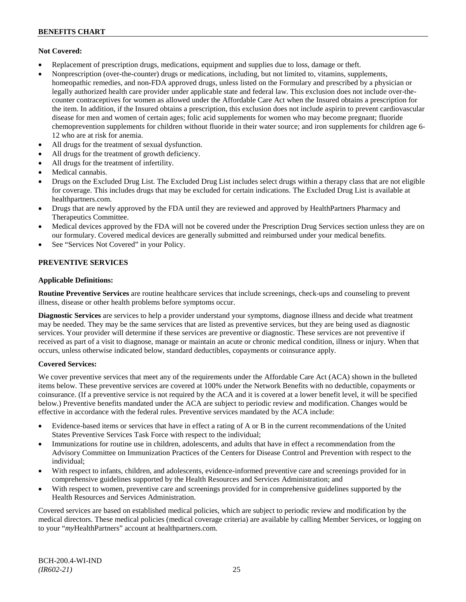### **Not Covered:**

- Replacement of prescription drugs, medications, equipment and supplies due to loss, damage or theft.
- Nonprescription (over-the-counter) drugs or medications, including, but not limited to, vitamins, supplements, homeopathic remedies, and non-FDA approved drugs, unless listed on the Formulary and prescribed by a physician or legally authorized health care provider under applicable state and federal law. This exclusion does not include over-thecounter contraceptives for women as allowed under the Affordable Care Act when the Insured obtains a prescription for the item. In addition, if the Insured obtains a prescription, this exclusion does not include aspirin to prevent cardiovascular disease for men and women of certain ages; folic acid supplements for women who may become pregnant; fluoride chemoprevention supplements for children without fluoride in their water source; and iron supplements for children age 6- 12 who are at risk for anemia.
- All drugs for the treatment of sexual dysfunction.
- All drugs for the treatment of growth deficiency.
- All drugs for the treatment of infertility.
- Medical cannabis.
- Drugs on the Excluded Drug List. The Excluded Drug List includes select drugs within a therapy class that are not eligible for coverage. This includes drugs that may be excluded for certain indications. The Excluded Drug List is available at [healthpartners.com.](http://www.healthpartners.com/)
- Drugs that are newly approved by the FDA until they are reviewed and approved by HealthPartners Pharmacy and Therapeutics Committee.
- Medical devices approved by the FDA will not be covered under the Prescription Drug Services section unless they are on our formulary. Covered medical devices are generally submitted and reimbursed under your medical benefits.
- See "Services Not Covered" in your Policy.

# **PREVENTIVE SERVICES**

### **Applicable Definitions:**

**Routine Preventive Services** are routine healthcare services that include screenings, check-ups and counseling to prevent illness, disease or other health problems before symptoms occur.

**Diagnostic Services** are services to help a provider understand your symptoms, diagnose illness and decide what treatment may be needed. They may be the same services that are listed as preventive services, but they are being used as diagnostic services. Your provider will determine if these services are preventive or diagnostic. These services are not preventive if received as part of a visit to diagnose, manage or maintain an acute or chronic medical condition, illness or injury. When that occurs, unless otherwise indicated below, standard deductibles, copayments or coinsurance apply.

#### **Covered Services:**

We cover preventive services that meet any of the requirements under the Affordable Care Act (ACA) shown in the bulleted items below. These preventive services are covered at 100% under the Network Benefits with no deductible, copayments or coinsurance. (If a preventive service is not required by the ACA and it is covered at a lower benefit level, it will be specified below.) Preventive benefits mandated under the ACA are subject to periodic review and modification. Changes would be effective in accordance with the federal rules. Preventive services mandated by the ACA include:

- Evidence-based items or services that have in effect a rating of A or B in the current recommendations of the United States Preventive Services Task Force with respect to the individual;
- Immunizations for routine use in children, adolescents, and adults that have in effect a recommendation from the Advisory Committee on Immunization Practices of the Centers for Disease Control and Prevention with respect to the individual;
- With respect to infants, children, and adolescents, evidence-informed preventive care and screenings provided for in comprehensive guidelines supported by the Health Resources and Services Administration; and
- With respect to women, preventive care and screenings provided for in comprehensive guidelines supported by the Health Resources and Services Administration.

Covered services are based on established medical policies, which are subject to periodic review and modification by the medical directors. These medical policies (medical coverage criteria) are available by calling Member Services, or logging on to your "*my*HealthPartners" account at [healthpartners.com.](http://www.healthpartners.com/)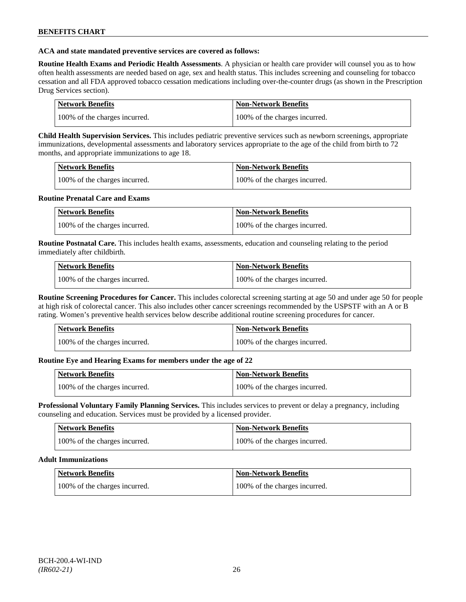### **ACA and state mandated preventive services are covered as follows:**

**Routine Health Exams and Periodic Health Assessments**. A physician or health care provider will counsel you as to how often health assessments are needed based on age, sex and health status. This includes screening and counseling for tobacco cessation and all FDA approved tobacco cessation medications including over-the-counter drugs (as shown in the Prescription Drug Services section).

| Network Benefits              | Non-Network Benefits          |
|-------------------------------|-------------------------------|
| 100% of the charges incurred. | 100% of the charges incurred. |

**Child Health Supervision Services.** This includes pediatric preventive services such as newborn screenings, appropriate immunizations, developmental assessments and laboratory services appropriate to the age of the child from birth to 72 months, and appropriate immunizations to age 18.

| <b>Network Benefits</b>       | <b>Non-Network Benefits</b>   |
|-------------------------------|-------------------------------|
| 100% of the charges incurred. | 100% of the charges incurred. |

### **Routine Prenatal Care and Exams**

| Network Benefits              | Non-Network Benefits          |
|-------------------------------|-------------------------------|
| 100% of the charges incurred. | 100% of the charges incurred. |

**Routine Postnatal Care.** This includes health exams, assessments, education and counseling relating to the period immediately after childbirth.

| <b>Network Benefits</b>       | Non-Network Benefits          |
|-------------------------------|-------------------------------|
| 100% of the charges incurred. | 100% of the charges incurred. |

**Routine Screening Procedures for Cancer.** This includes colorectal screening starting at age 50 and under age 50 for people at high risk of colorectal cancer. This also includes other cancer screenings recommended by the USPSTF with an A or B rating. Women's preventive health services below describe additional routine screening procedures for cancer.

| Network Benefits              | <b>Non-Network Benefits</b>   |
|-------------------------------|-------------------------------|
| 100% of the charges incurred. | 100% of the charges incurred. |

# **Routine Eye and Hearing Exams for members under the age of 22**

| Network Benefits              | <b>Non-Network Benefits</b>   |
|-------------------------------|-------------------------------|
| 100% of the charges incurred. | 100% of the charges incurred. |

**Professional Voluntary Family Planning Services.** This includes services to prevent or delay a pregnancy, including counseling and education. Services must be provided by a licensed provider.

| <b>Network Benefits</b>       | <b>Non-Network Benefits</b>   |
|-------------------------------|-------------------------------|
| 100% of the charges incurred. | 100% of the charges incurred. |

#### **Adult Immunizations**

| <b>Network Benefits</b>       | <b>Non-Network Benefits</b>   |
|-------------------------------|-------------------------------|
| 100% of the charges incurred. | 100% of the charges incurred. |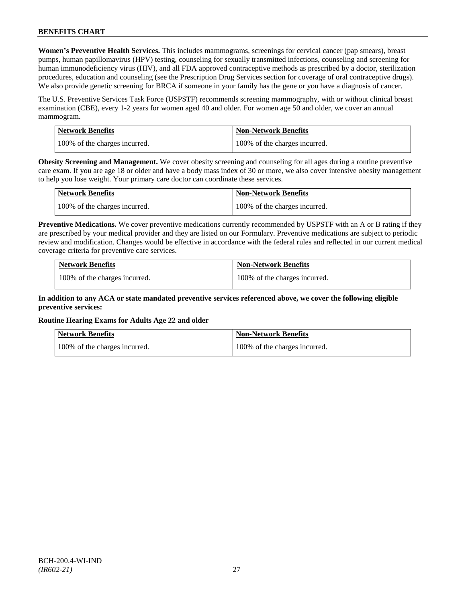**Women's Preventive Health Services.** This includes mammograms, screenings for cervical cancer (pap smears), breast pumps, human papillomavirus (HPV) testing, counseling for sexually transmitted infections, counseling and screening for human immunodeficiency virus (HIV), and all FDA approved contraceptive methods as prescribed by a doctor, sterilization procedures, education and counseling (see the Prescription Drug Services section for coverage of oral contraceptive drugs). We also provide genetic screening for BRCA if someone in your family has the gene or you have a diagnosis of cancer.

The U.S. Preventive Services Task Force (USPSTF) recommends screening mammography, with or without clinical breast examination (CBE), every 1-2 years for women aged 40 and older. For women age 50 and older, we cover an annual mammogram.

| Network Benefits              | <b>Non-Network Benefits</b>   |
|-------------------------------|-------------------------------|
| 100% of the charges incurred. | 100% of the charges incurred. |

**Obesity Screening and Management.** We cover obesity screening and counseling for all ages during a routine preventive care exam. If you are age 18 or older and have a body mass index of 30 or more, we also cover intensive obesity management to help you lose weight. Your primary care doctor can coordinate these services.

| <b>Network Benefits</b>       | <b>Non-Network Benefits</b>   |
|-------------------------------|-------------------------------|
| 100% of the charges incurred. | 100% of the charges incurred. |

**Preventive Medications.** We cover preventive medications currently recommended by USPSTF with an A or B rating if they are prescribed by your medical provider and they are listed on our Formulary. Preventive medications are subject to periodic review and modification. Changes would be effective in accordance with the federal rules and reflected in our current medical coverage criteria for preventive care services.

| <b>Network Benefits</b>       | <b>Non-Network Benefits</b>   |
|-------------------------------|-------------------------------|
| 100% of the charges incurred. | 100% of the charges incurred. |

# **In addition to any ACA or state mandated preventive services referenced above, we cover the following eligible preventive services:**

# **Routine Hearing Exams for Adults Age 22 and older**

| Network Benefits              | <b>Non-Network Benefits</b>   |
|-------------------------------|-------------------------------|
| 100% of the charges incurred. | 100% of the charges incurred. |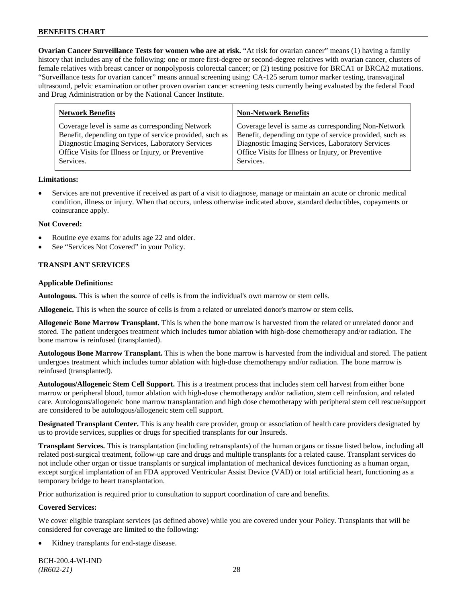**Ovarian Cancer Surveillance Tests for women who are at risk.** "At risk for ovarian cancer" means (1) having a family history that includes any of the following: one or more first-degree or second-degree relatives with ovarian cancer, clusters of female relatives with breast cancer or nonpolyposis colorectal cancer; or (2) testing positive for BRCA1 or BRCA2 mutations. "Surveillance tests for ovarian cancer" means annual screening using: CA-125 serum tumor marker testing, transvaginal ultrasound, pelvic examination or other proven ovarian cancer screening tests currently being evaluated by the federal Food and Drug Administration or by the National Cancer Institute.

| <b>Network Benefits</b>                                 | <b>Non-Network Benefits</b>                             |
|---------------------------------------------------------|---------------------------------------------------------|
| Coverage level is same as corresponding Network         | Coverage level is same as corresponding Non-Network     |
| Benefit, depending on type of service provided, such as | Benefit, depending on type of service provided, such as |
| Diagnostic Imaging Services, Laboratory Services        | Diagnostic Imaging Services, Laboratory Services        |
| Office Visits for Illness or Injury, or Preventive      | Office Visits for Illness or Injury, or Preventive      |
| Services.                                               | Services.                                               |

### **Limitations:**

• Services are not preventive if received as part of a visit to diagnose, manage or maintain an acute or chronic medical condition, illness or injury. When that occurs, unless otherwise indicated above, standard deductibles, copayments or coinsurance apply.

### **Not Covered:**

- Routine eye exams for adults age 22 and older.
- See "Services Not Covered" in your Policy.

# **TRANSPLANT SERVICES**

### **Applicable Definitions:**

**Autologous.** This is when the source of cells is from the individual's own marrow or stem cells.

**Allogeneic.** This is when the source of cells is from a related or unrelated donor's marrow or stem cells.

**Allogeneic Bone Marrow Transplant.** This is when the bone marrow is harvested from the related or unrelated donor and stored. The patient undergoes treatment which includes tumor ablation with high-dose chemotherapy and/or radiation. The bone marrow is reinfused (transplanted).

**Autologous Bone Marrow Transplant.** This is when the bone marrow is harvested from the individual and stored. The patient undergoes treatment which includes tumor ablation with high-dose chemotherapy and/or radiation. The bone marrow is reinfused (transplanted).

**Autologous/Allogeneic Stem Cell Support.** This is a treatment process that includes stem cell harvest from either bone marrow or peripheral blood, tumor ablation with high-dose chemotherapy and/or radiation, stem cell reinfusion, and related care. Autologous/allogeneic bone marrow transplantation and high dose chemotherapy with peripheral stem cell rescue/support are considered to be autologous/allogeneic stem cell support.

**Designated Transplant Center.** This is any health care provider, group or association of health care providers designated by us to provide services, supplies or drugs for specified transplants for our Insureds.

**Transplant Services.** This is transplantation (including retransplants) of the human organs or tissue listed below, including all related post-surgical treatment, follow-up care and drugs and multiple transplants for a related cause. Transplant services do not include other organ or tissue transplants or surgical implantation of mechanical devices functioning as a human organ, except surgical implantation of an FDA approved Ventricular Assist Device (VAD) or total artificial heart, functioning as a temporary bridge to heart transplantation.

Prior authorization is required prior to consultation to support coordination of care and benefits.

# **Covered Services:**

We cover eligible transplant services (as defined above) while you are covered under your Policy. Transplants that will be considered for coverage are limited to the following:

Kidney transplants for end-stage disease.

BCH-200.4-WI-IND *(IR602-21)* 28